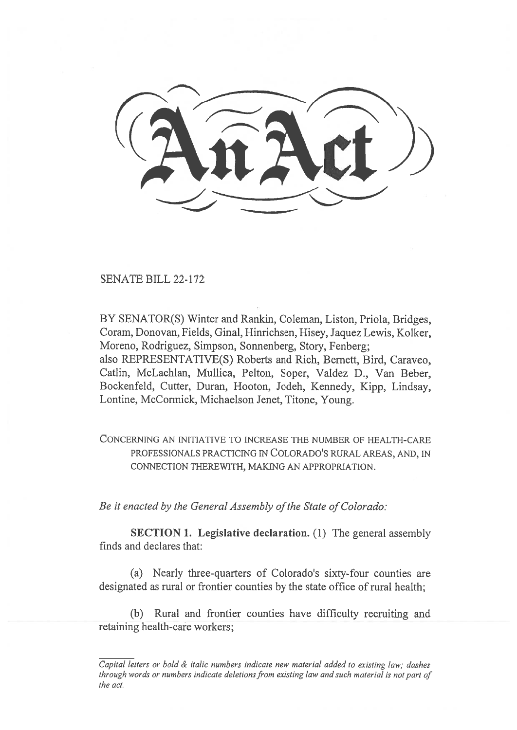SENATE BILL 22-172

BY SENATOR(S) Winter and Rankin, Coleman, Liston, Priola, Bridges, Coram, Donovan, Fields, Ginal, Hinrichsen, Hisey, Jaquez Lewis, Kolker, Moreno, Rodriguez, Simpson, Sonnenberg, Story, Fenberg; also REPRESENTATIVE(S) Roberts and Rich, Bernett, Bird, Caraveo, Catlin, McLachlan, Mullica, Pelton, Soper, Valdez D., Van Beber, Bockenfeld, Cutter, Duran, Hooton, Jodeh, Kennedy, Kipp, Lindsay, Lontine, McCormick, Michaelson Jenet, Titone, Young.

CONCERNING AN INITIATIVE TO INCREASE THE NUMBER OF HEALTH-CARE PROFESSIONALS PRACTICING IN COLORADO'S RURAL AREAS, AND, IN CONNECTION THEREWITH, MAKING AN APPROPRIATION.

Be it enacted by the General Assembly of the State of Colorado:

SECTION 1. Legislative declaration. (1) The general assembly finds and declares that:

(a) Nearly three-quarters of Colorado's sixty-four counties are designated as rural or frontier counties by the state office of rural health;

(b) Rural and frontier counties have difficulty recruiting and retaining health-care workers;

Capital letters or bold & italic numbers indicate new material added to existing law; dashes through words or numbers indicate deletions from existing law and such material is not part of the act.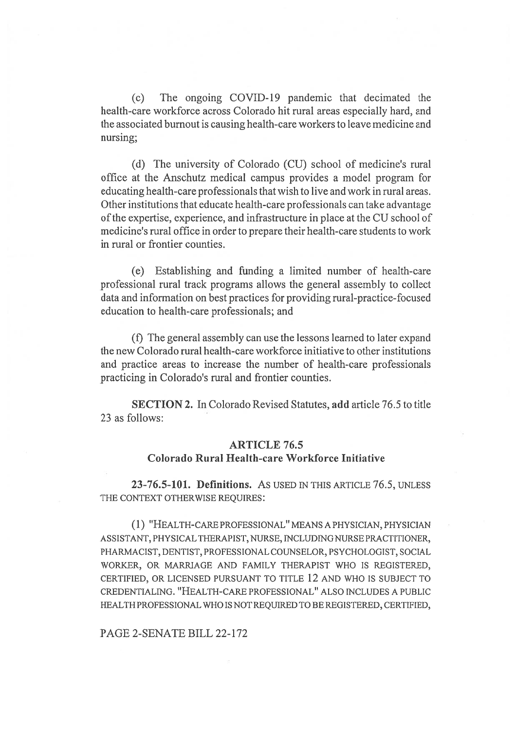(c) The ongoing COVID-19 pandemic that decimated the health-care workforce across Colorado hit rural areas especially hard, and the associated burnout is causing health-care workers to leave medicine and nursing;

(d) The university of Colorado (CU) school of medicine's rural office at the Anschutz medical campus provides a model program for educating health-care professionals that wish to live and work in rural areas. Other institutions that educate health-care professionals can take advantage of the expertise, experience, and infrastructure in place at the CU school of medicine's rural office in order to prepare their health-care students to work in rural or frontier counties.

(e) Establishing and funding a limited number of health-care professional rural track programs allows the general assembly to collect data and information on best practices for providing rural-practice-focused education to health-care professionals; and

(f) The general assembly can use the lessons learned to later expand the new Colorado rural health-care workforce initiative to other institutions and practice areas to increase the number of health-care professionals practicing in Colorado's rural and frontier counties.

SECTION 2. In Colorado Revised Statutes, add article 76.5 to title 23 as follows:

## ARTICLE 76.5 Colorado Rural Health-care Workforce Initiative

23-76.5-101. Definitions. AS USED IN THIS ARTICLE 76.5, UNLESS THE CONTEXT OTHERWISE REQUIRES:

(1) "HEALTH-CARE PROFESSIONAL" MEANS A PHYSICIAN, PHYSICIAN ASSISTANT, PHYSICAL THERAPIST, NURSE, INCLUDING NURSE PRACTITIONER, PHARMACIST, DENTIST, PROFESSIONAL COUNSELOR, PSYCHOLOGIST, SOCIAL WORKER, OR MARRIAGE AND FAMILY THERAPIST WHO IS REGISTERED, CERTIFIED, OR LICENSED PURSUANT TO TITLE 12 AND WHO IS SUBJECT TO CREDENTIALING. "HEALTH-CARE PROFESSIONAL" ALSO INCLUDES A PUBLIC HEALTH PROFESSIONAL WHO IS NOT REQUIRED TO BE REGISTERED, CERTIFIED,

PAGE 2-SENATE BILL 22-172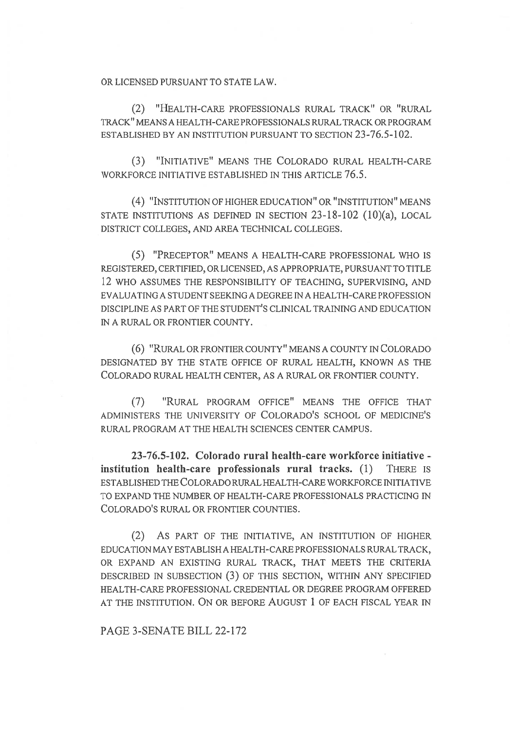OR LICENSED PURSUANT TO STATE LAW.

(2) "HEALTH-CARE PROFESSIONALS RURAL TRACK" OR "RURAL TRACK" MEANS A HEALTH-CARE PROFESSIONALS RURAL TRACK OR PROGRAM ESTABLISHED BY AN INSTITUTION PURSUANT TO SECTION 23-76.5-102.

(3) "INITIATIVE" MEANS THE COLORADO RURAL HEALTH-CARE WORKFORCE INITIATIVE ESTABLISHED IN THIS ARTICLE 76.5.

(4) "INSTITUTION OF HIGHER EDUCATION" OR "INSTITUTION" MEANS STATE INSTITUTIONS AS DEFINED IN SECTION 23-18-102 (10)(a), LOCAL DISTRICT COLLEGES, AND AREA TECHNICAL COLLEGES.

(5) "PRECEPTOR" MEANS A HEALTH-CARE PROFESSIONAL WHO IS REGISTERED, CERTIFIED, OR LICENSED, AS APPROPRIATE, PURSUANT TO TITLE 12 WHO ASSUMES THE RESPONSIBILITY OF TEACHING, SUPERVISING, AND EVALUATING A STUDENT SEEKING A DEGREE IN A HEALTH-CARE PROFESSION DISCIPLINE AS PART OF THE STUDENT'S CLINICAL TRAINING AND EDUCATION IN A RURAL OR FRONTIER COUNTY.

(6) "RURAL OR FRONTIER COUNTY" MEANS A COUNTY IN COLORADO DESIGNATED BY THE STATE OFFICE OF RURAL HEALTH, KNOWN AS THE COLORADO RURAL HEALTH CENTER, AS A RURAL OR FRONTIER COUNTY.

(7) "RURAL PROGRAM OFFICE" MEANS THE OFFICE THAT ADMINISTERS THE UNIVERSITY OF COLORADO'S SCHOOL OF MEDICINE'S RURAL PROGRAM AT THE HEALTH SCIENCES CENTER CAMPUS.

23-76.5-102. Colorado rural health-care workforce initiative institution health-care professionals rural tracks. (1) THERE IS ESTABLISHED THE COLORADO RURAL HEALTH-CARE WORKFORCE INITIATIVE TO EXPAND THE NUMBER OF HEALTH-CARE PROFESSIONALS PRACTICING IN COLORADO'S RURAL OR FRONTIER COUNTIES.

(2) AS PART OF THE INITIATIVE, AN INSTITUTION OF HIGHER EDUCATION MAY ESTABLISH A HEALTH-CARE PROFESSIONALS RURAL TRACK, OR EXPAND AN EXISTING RURAL TRACK, THAT MEETS THE CRITERIA DESCRIBED IN SUBSECTION (3) OF THIS SECTION, WITHIN ANY SPECIFIED HEALTH-CARE PROFESSIONAL CREDENTIAL OR DEGREE PROGRAM OFFERED AT THE INSTITUTION. ON OR BEFORE AUGUST 1 OF EACH FISCAL YEAR IN

PAGE 3-SENATE BILL 22-172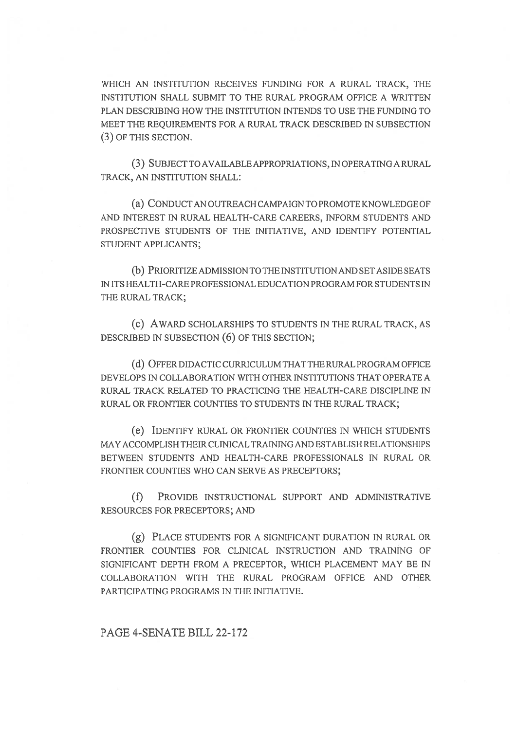WHICH AN INSTITUTION RECEIVES FUNDING FOR A RURAL TRACK, THE INSTITUTION SHALL SUBMIT TO THE RURAL PROGRAM OFFICE A WRITTEN PLAN DESCRIBING HOW THE INSTITUTION INTENDS TO USE THE FUNDING TO MEET THE REQUIREMENTS FOR A RURAL TRACK DESCRIBED IN SUBSECTION (3) OF THIS SECTION.

(3) SUBJECT TO AVAILABLE APPROPRIATIONS, IN OPERATING A RURAL TRACK, AN INSTITUTION SHALL:

(a) CONDUCT AN OUTREACH CAMPAIGN TO PROMOTE KNOWLEDGE OF AND INTEREST IN RURAL HEALTH-CARE CAREERS, INFORM STUDENTS AND PROSPECTIVE STUDENTS OF THE INITIATIVE, AND IDENTIFY POTENTIAL STUDENT APPLICANTS;

(b) PRIORITIZE ADMISSION TO THE INSTITUTION AND SET ASIDE SEATS IN ITS HEALTH-CARE PROFESSIONAL EDUCATION PROGRAM FOR STUDENTS IN THE RURAL TRACK;

(C) AWARD SCHOLARSHIPS TO STUDENTS IN THE RURAL TRACK, AS DESCRIBED IN SUBSECTION (6) OF THIS SECTION;

(d) OFFER DIDACTIC CURRICULUM THAT THE RURAL PROGRAM OFFICE DEVELOPS IN COLLABORATION WITH OTHER INSTITUTIONS THAT OPERATE A RURAL TRACK RELATED TO PRACTICING THE HEALTH-CARE DISCIPLINE IN RURAL OR FRONTIER COUNTIES TO STUDENTS IN THE RURAL TRACK;

(e) IDENTIFY RURAL OR FRONTIER COUNTIES IN WHICH STUDENTS MAY ACCOMPLISH THEIR CLINICAL TRAINING AND ESTABLISH RELATIONSHIPS BETWEEN STUDENTS AND HEALTH-CARE PROFESSIONALS IN RURAL OR FRONTIER COUNTIES WHO CAN SERVE AS PRECEPTORS;

(f) PROVIDE INSTRUCTIONAL SUPPORT AND ADMINISTRATIVE RESOURCES FOR PRECEPTORS; AND

(g) PLACE STUDENTS FOR A SIGNIFICANT DURATION IN RURAL OR FRONTIER COUNTIES FOR CLINICAL INSTRUCTION AND TRAINING OF SIGNIFICANT DEPTH FROM A PRECEPTOR, WHICH PLACEMENT MAY BE IN COLLABORATION WITH THE RURAL PROGRAM OFFICE AND OTHER PARTICIPATING PROGRAMS IN THE INITIATIVE.

## PAGE 4-SENATE BILL 22-172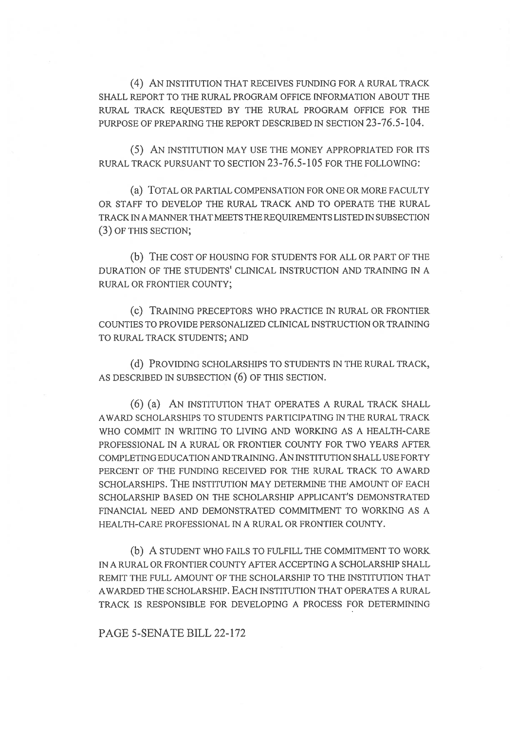(4) AN INSTITUTION THAT RECEIVES FUNDING FOR A RURAL TRACK SHALL REPORT TO THE RURAL PROGRAM OFFICE INFORMATION ABOUT THE RURAL TRACK REQUESTED BY THE RURAL PROGRAM OFFICE FOR THE PURPOSE OF PREPARING THE REPORT DESCRIBED IN SECTION 23-76.5-104.

(5) AN INSTITUTION MAY USE THE MONEY APPROPRIATED FOR ITS RURAL TRACK PURSUANT TO SECTION 23-76.5-105 FOR THE FOLLOWING:

(a) TOTAL OR PARTIAL COMPENSATION FOR ONE OR MORE FACULTY OR STAFF TO DEVELOP THE RURAL TRACK AND TO OPERATE THE RURAL TRACK IN A MANNER THAT MEETS THE REQUIREMENTS LISTED IN SUBSECTION (3) OF THIS SECTION;

(b) THE COST OF HOUSING FOR STUDENTS FOR ALL OR PART OF THE DURATION OF THE STUDENTS' CLINICAL INSTRUCTION AND TRAINING IN A RURAL OR FRONTIER COUNTY;

(C) TRAINING PRECEPTORS WHO PRACTICE IN RURAL OR FRONTIER COUNTIES TO PROVIDE PERSONALIZED CLINICAL INSTRUCTION OR TRAINING TO RURAL TRACK STUDENTS; AND

(d) PROVIDING SCHOLARSHIPS TO STUDENTS IN THE RURAL TRACK, AS DESCRIBED IN SUBSECTION (6) OF THIS SECTION.

(6) (a) AN INSTITUTION THAT OPERATES A RURAL TRACK SHALL AWARD SCHOLARSHIPS TO STUDENTS PARTICIPATING IN THE RURAL TRACK WHO COMMIT IN WRITING TO LIVING AND WORKING AS A HEALTH-CARE PROFESSIONAL IN A RURAL OR FRONTIER COUNTY FOR TWO YEARS AFTER COMPLETING EDUCATION AND TRAINING. AN INSTITUTION SHALL USE FORTY PERCENT OF THE FUNDING RECEIVED FOR THE RURAL TRACK TO AWARD SCHOLARSHIPS. THE INSTITUTION MAY DETERMINE THE AMOUNT OF EACH SCHOLARSHIP BASED ON THE SCHOLARSHIP APPLICANT'S DEMONSTRATED FINANCIAL NEED AND DEMONSTRATED COMMITMENT TO WORKING AS A HEALTH-CARE PROFESSIONAL IN A RURAL OR FRONTIER COUNTY.

(b) A STUDENT WHO FAILS TO FULFILL THE COMMITMENT TO WORK IN A RURAL OR FRONTIER COUNTY AFTER ACCEPTING A SCHOLARSHIP SHALL REMIT THE FULL AMOUNT OF THE SCHOLARSHIP TO THE INSTITUTION THAT AWARDED THE SCHOLARSHIP. EACH INSTITUTION THAT OPERATES A RURAL TRACK IS RESPONSIBLE FOR DEVELOPING A PROCESS FOR DETERMINING

PAGE 5-SENATE BILL 22-172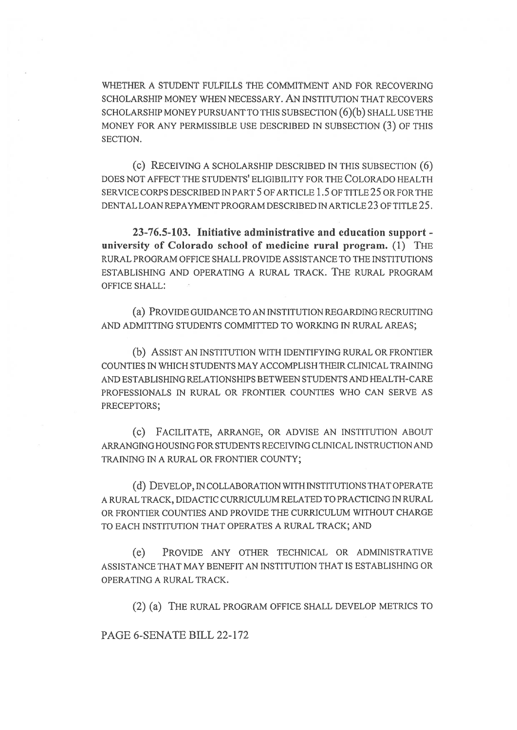WHETHER A STUDENT FULFILLS THE COMMITMENT AND FOR RECOVERING SCHOLARSHIP MONEY WHEN NECESSARY. AN INSTITUTION THAT RECOVERS SCHOLARSHIP MONEY PURSUANT TO THIS SUBSECTION (6)(b) SHALL USE THE MONEY FOR ANY PERMISSIBLE USE DESCRIBED IN SUBSECTION (3) OF THIS SECTION.

(c) RECEIVING A SCHOLARSHIP DESCRIBED IN THIS SUBSECTION (6) DOES NOT AFFECT THE STUDENTS' ELIGIBILITY FOR THE COLORADO HEALTH SERVICE CORPS DESCRIBED IN PART 5 OF ARTICLE 1.5 OF TITLE 25 OR FOR THE DENTAL LOAN REPAYMENT PROGRAM DESCRIBED IN ARTICLE 23 OF TITLE 25.

23-76.5-103. Initiative administrative and education support university of Colorado school of medicine rural program. (1) THE RURAL PROGRAM OFFICE SHALL PROVIDE ASSISTANCE TO THE INSTITUTIONS ESTABLISHING AND OPERATING A RURAL TRACK. THE RURAL PROGRAM OFFICE SHALL:

(a) PROVIDE GUIDANCE TO AN INSTITUTION REGARDING RECRUITING AND ADMITTING STUDENTS COMMITTED TO WORKING IN RURAL AREAS;

(b) ASSIST AN INSTITUTION WITH IDENTIFYING RURAL OR FRONTIER COUNTIES IN WHICH STUDENTS MAY ACCOMPLISH THEIR CLINICAL TRAINING AND ESTABLISHING RELATIONSHIPS BETWEEN STUDENTS AND HEALTH-CARE PROFESSIONALS IN RURAL OR FRONTIER COUNTIES WHO CAN SERVE AS PRECEPTORS;

(c) FACILITATE, ARRANGE, OR ADVISE AN INSTITUTION ABOUT ARRANGING HOUSING FOR STUDENTS RECEIVING CLINICAL INSTRUCTION AND TRAINING IN A RURAL OR FRONTIER COUNTY;

(d) DEVELOP, IN COLLABORATION WITH INSTITUTIONS THAT OPERATE A RURAL TRACK, DIDACTIC CURRICULUM RELATED TO PRACTICING IN RURAL OR FRONTIER COUNTIES AND PROVIDE THE CURRICULUM WITHOUT CHARGE TO EACH INSTITUTION THAT OPERATES A RURAL TRACK; AND

(e) PROVIDE ANY OTHER TECHNICAL OR ADMINISTRATIVE ASSISTANCE THAT MAY BENEFIT AN INSTITUTION THAT IS ESTABLISHING OR OPERATING A RURAL TRACK.

(2) (a) THE RURAL PROGRAM OFFICE SHALL DEVELOP METRICS TO

PAGE 6-SENATE BILL 22-172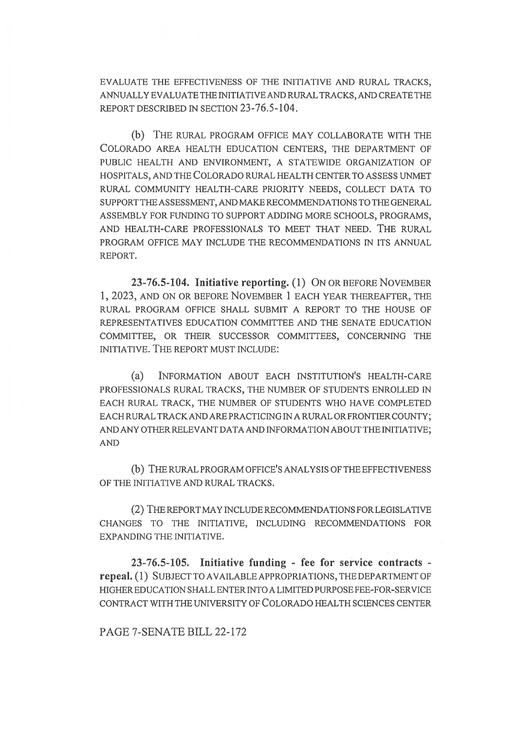EVALUATE THE EFFECTIVENESS OF THE INITIATIVE AND RURAL TRACKS, ANNUALLY EVALUATE THE INITIATIVE AND RURAL TRACKS, AND CREATE THE REPORT DESCRIBED IN SECTION 23-76.5-104.

(b) THE RURAL PROGRAM OFFICE MAY COLLABORATE WITH THE COLORADO AREA HEALTH EDUCATION CENTERS, THE DEPARTMENT OF PUBLIC HEALTH AND ENVIRONMENT, A STATEWIDE ORGANIZATION OF HOSPITALS, AND THE COLORADO RURAL HEALTH CENTER TO ASSESS UNMET RURAL COMMUNITY HEALTH-CARE PRIORITY NEEDS, COLLECT DATA TO SUPPORT THE ASSESSMENT, AND MAKE RECOMMENDATIONS TO THE GENERAL ASSEMBLY FOR FUNDING TO SUPPORT ADDING MORE SCHOOLS, PROGRAMS, AND HEALTH-CARE PROFESSIONALS TO MEET THAT NEED. THE RURAL PROGRAM OFFICE MAY INCLUDE THE RECOMMENDATIONS IN ITS ANNUAL REPORT.

23-76.5-104. Initiative reporting. (1) ON OR BEFORE NOVEMBER 1, 2023, AND ON OR BEFORE NOVEMBER 1 EACH YEAR THEREAFTER, THE RURAL PROGRAM OFFICE SHALL SUBMIT A REPORT TO THE HOUSE OF REPRESENTATIVES EDUCATION COMMITTEE AND THE SENATE EDUCATION COMMITTEE, OR THEIR SUCCESSOR COMMITTEES, CONCERNING THE INITIATIVE. THE REPORT MUST INCLUDE:

(a) INFORMATION ABOUT EACH INSTITUTION'S HEALTH-CARE PROFESSIONALS RURAL TRACKS, THE NUMBER OF STUDENTS ENROLLED IN EACH RURAL TRACK, THE NUMBER OF STUDENTS WHO HAVE COMPLETED EACH RURAL TRACK AND ARE PRACTICING IN A RURAL OR FRONTIER COUNTY; AND ANY OTHER RELEVANT DATA AND INFORMATION ABOUT THE INITIATIVE; AND

(b) THE RURAL PROGRAM OFFICE'S ANALYSIS OF THE EFFECTIVENESS OF THE INITIATIVE AND RURAL TRACKS.

(2) THE REPORT MAY INCLUDE RECOMMENDATIONS FOR LEGISLATIVE CHANGES TO THE INITIATIVE, INCLUDING RECOMMENDATIONS FOR EXPANDING THE INITIATIVE.

23-76.5-105. Initiative funding - fee for service contracts repeal. (1) SUBJECT TO AVAILABLE APPROPRIATIONS, THE DEPARTMENT OF HIGHER EDUCATION SHALL ENTER INTO A LIMITED PURPOSE FEE-FOR-SERVICE CONTRACT WITH THE UNIVERSITY OF COLORADO HEALTH SCIENCES CENTER

PAGE 7-SENATE BILL 22-172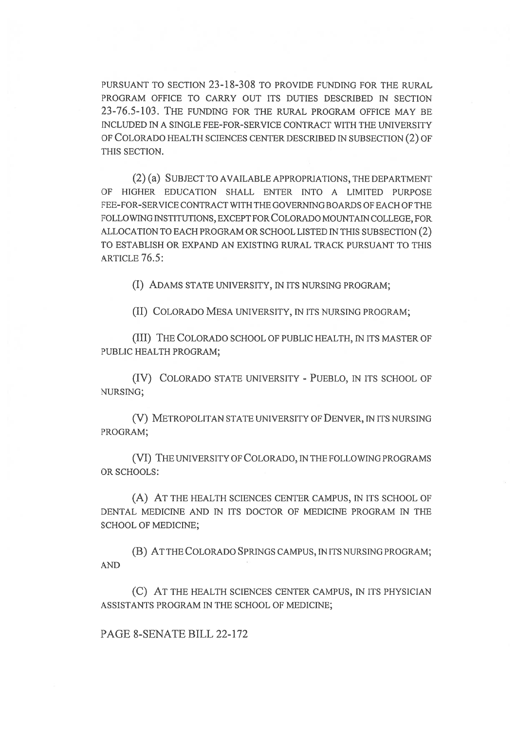PURSUANT TO SECTION 23-18-308 TO PROVIDE FUNDING FOR THE RURAL PROGRAM OFFICE TO CARRY OUT ITS DUTIES DESCRIBED IN SECTION 23-76.5-103. THE FUNDING FOR THE RURAL PROGRAM OFFICE MAY BE INCLUDED IN A SINGLE FEE-FOR-SERVICE CONTRACT WITH THE UNIVERSITY OF COLORADO HEALTH SCIENCES CENTER DESCRIBED IN SUBSECTION (2) OF THIS SECTION.

(2) (a) SUBJECT TO AVAILABLE APPROPRIATIONS, THE DEPARTMENT OF HIGHER EDUCATION SHALL ENTER INTO A LIMITED PURPOSE FEE-FOR-SERVICE CONTRACT WITH THE GOVERNING BOARDS OF EACH OF THE FOLLOWING INSTITUTIONS, EXCEPT FOR COLORADO MOUNTAIN COLLEGE, FOR ALLOCATION TO EACH PROGRAM OR SCHOOL LISTED IN THIS SUBSECTION (2) TO ESTABLISH OR EXPAND AN EXISTING RURAL TRACK PURSUANT TO THIS ARTICLE 76.5:

(I) ADAMS STATE UNIVERSITY, IN ITS NURSING PROGRAM;

(II) COLORADO MESA UNIVERSITY, IN ITS NURSING PROGRAM;

(III) THE COLORADO SCHOOL OF PUBLIC HEALTH, IN ITS MASTER OF PUBLIC HEALTH PROGRAM;

(IV) COLORADO STATE UNIVERSITY - PUEBLO, IN ITS SCHOOL OF NURSING;

(V) METROPOLITAN STATE UNIVERSITY OF DENVER, IN ITS NURSING PROGRAM;

(VI) THE UNIVERSITY OF COLORADO, IN THE FOLLOWING PROGRAMS OR SCHOOLS:

(A) AT THE HEALTH SCIENCES CENTER CAMPUS, IN ITS SCHOOL OF DENTAL MEDICINE AND IN ITS DOCTOR OF MEDICINE PROGRAM IN THE SCHOOL OF MEDICINE;

(B) AT THE COLORADO SPRINGS CAMPUS, IN ITS NURSING PROGRAM; AND

(C) AT THE HEALTH SCIENCES CENTER CAMPUS, IN ITS PHYSICIAN ASSISTANTS PROGRAM IN THE SCHOOL OF MEDICINE;

PAGE 8-SENATE BILL 22-172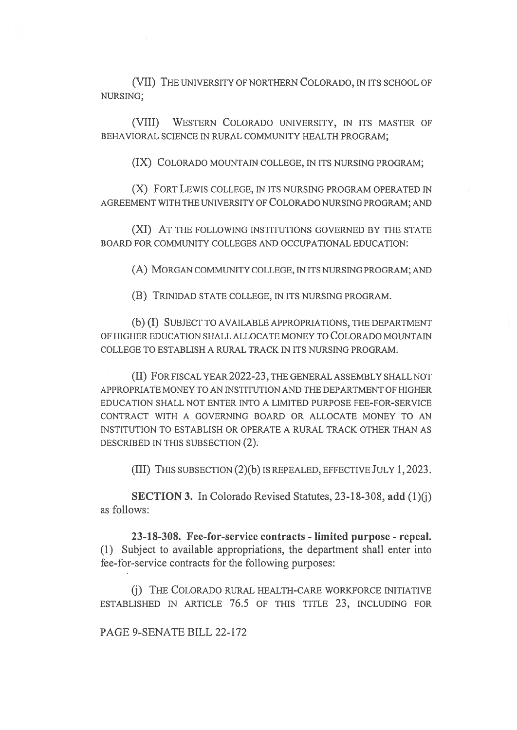(VII) THE UNIVERSITY OF NORTHERN COLORADO, IN ITS SCHOOL OF NURSING;

(VIII) WESTERN COLORADO UNIVERSITY, IN ITS MASTER OF BEHAVIORAL SCIENCE IN RURAL COMMUNITY HEALTH PROGRAM;

(IX) COLORADO MOUNTAIN COLLEGE, IN ITS NURSING PROGRAM;

(X) FORT LEWIS COLLEGE, IN ITS NURSING PROGRAM OPERATED IN AGREEMENT WITH THE UNIVERSITY OF COLORADO NURSING PROGRAM; AND

(XI) AT THE FOLLOWING INSTITUTIONS GOVERNED BY THE STATE BOARD FOR COMMUNITY COLLEGES AND OCCUPATIONAL EDUCATION:

(A) MORGAN COMMUNITY COLLEGE, IN ITS NURSING PROGRAM; AND

(B) TRINIDAD STATE COLLEGE, IN ITS NURSING PROGRAM.

(b) (I) SUBJECT TO AVAILABLE APPROPRIATIONS, THE DEPARTMENT OF HIGHER EDUCATION SHALL ALLOCATE MONEY TO COLORADO MOUNTAIN COLLEGE TO ESTABLISH A RURAL TRACK IN ITS NURSING PROGRAM.

(II) FOR FISCAL YEAR 2022-23, THE GENERAL ASSEMBLY SHALL NOT APPROPRIATE MONEY TO AN INSTITUTION AND THE DEPARTMENT OF HIGHER EDUCATION SHALL NOT ENTER INTO A LIMITED PURPOSE FEE-FOR-SERVICE CONTRACT WITH A GOVERNING BOARD OR ALLOCATE MONEY TO AN INSTITUTION TO ESTABLISH OR OPERATE A RURAL TRACK OTHER THAN AS DESCRIBED IN THIS SUBSECTION (2).

(III) THIS SUBSECTION (2)(b) IS REPEALED, EFFECTIVE JULY 1,2023.

SECTION 3. In Colorado Revised Statutes, 23-18-308, add (1)(j) as follows:

23-18-308. Fee-for-service contracts - limited purpose - repeal. (1) Subject to available appropriations, the department shall enter into fee-for-service contracts for the following purposes:

(j) THE COLORADO RURAL HEALTH-CARE WORKFORCE INITIATIVE ESTABLISHED IN ARTICLE 76.5 OF THIS TITLE 23, INCLUDING FOR

PAGE 9-SENATE BILL 22-172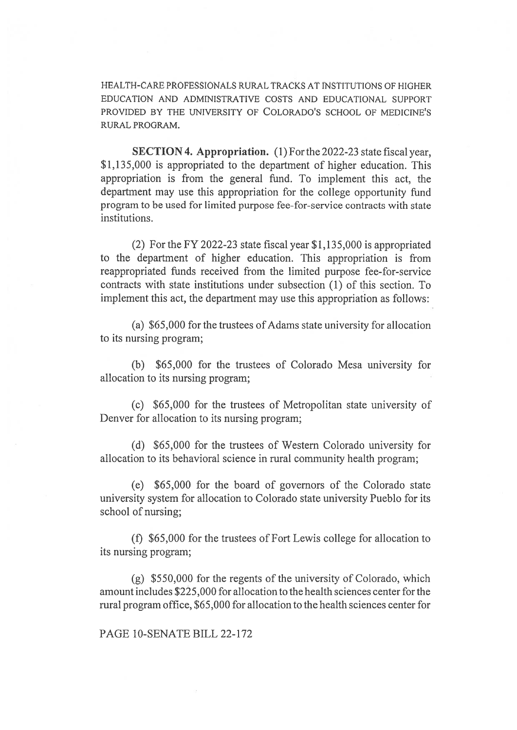HEALTH-CARE PROFESSIONALS RURAL TRACKS AT INSTITUTIONS OF HIGHER EDUCATION AND ADMINISTRATIVE COSTS AND EDUCATIONAL SUPPORT PROVIDED BY THE UNIVERSITY OF COLORADO'S SCHOOL OF MEDICINE'S RURAL PROGRAM.

SECTION 4. Appropriation. (1) For the 2022-23 state fiscal year, \$1,135,000 is appropriated to the department of higher education. This appropriation is from the general fund. To implement this act, the department may use this appropriation for the college opportunity fund program to be used for limited purpose fee-for-service contracts with state institutions.

(2) For the FY 2022-23 state fiscal year \$1,135,000 is appropriated to the department of higher education. This appropriation is from reappropriated funds received from the limited purpose fee-for-service contracts with state institutions under subsection (1) of this section. To implement this act, the department may use this appropriation as follows:

(a) \$65,000 for the trustees of Adams state university for allocation to its nursing program;

(b) \$65,000 for the trustees of Colorado Mesa university for allocation to its nursing program;

(c) \$65,000 for the trustees of Metropolitan state university of Denver for allocation to its nursing program;

(d) \$65,000 for the trustees of Western Colorado university for allocation to its behavioral science in rural community health program;

(e) \$65,000 for the board of governors of the Colorado state university system for allocation to Colorado state university Pueblo for its school of nursing;

(f) \$65,000 for the trustees of Fort Lewis college for allocation to its nursing program;

(g) \$550,000 for the regents of the university of Colorado, which amount includes \$225,000 for allocation to the health sciences center for the rural program office, \$65,000 for allocation to the health sciences center for

PAGE 10-SENATE BILL 22-172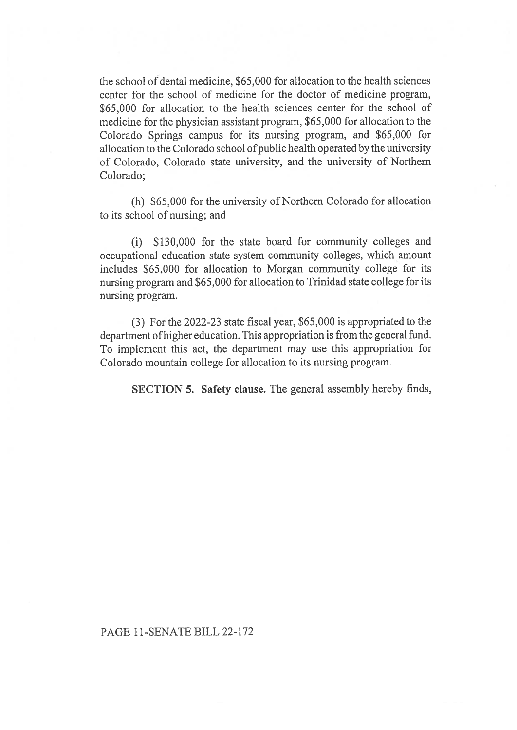the school of dental medicine, \$65,000 for allocation to the health sciences center for the school of medicine for the doctor of medicine program, \$65,000 for allocation to the health sciences center for the school of medicine for the physician assistant program, \$65,000 for allocation to the Colorado Springs campus for its nursing program, and \$65,000 for allocation to the Colorado school of public health operated by the university of Colorado, Colorado state university, and the university of Northern Colorado;

(h) \$65,000 for the university of Northern Colorado for allocation to its school of nursing; and

(i) \$130,000 for the state board for community colleges and occupational education state system community colleges, which amount includes \$65,000 for allocation to Morgan community college for its nursing program and \$65,000 for allocation to Trinidad state college for its nursing program.

(3) For the 2022-23 state fiscal year, \$65,000 is appropriated to the department of higher education. This appropriation is from the general fund. To implement this act, the department may use this appropriation for Colorado mountain college for allocation to its nursing program.

SECTION 5. Safety clause. The general assembly hereby finds,